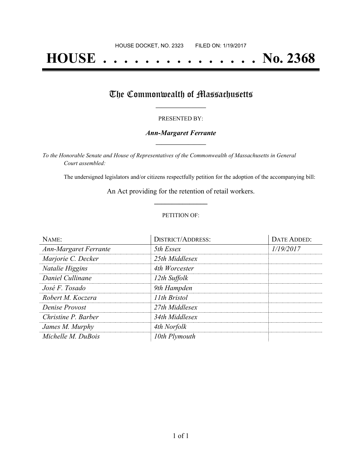# **HOUSE . . . . . . . . . . . . . . . No. 2368**

## The Commonwealth of Massachusetts

#### PRESENTED BY:

#### *Ann-Margaret Ferrante* **\_\_\_\_\_\_\_\_\_\_\_\_\_\_\_\_\_**

*To the Honorable Senate and House of Representatives of the Commonwealth of Massachusetts in General Court assembled:*

The undersigned legislators and/or citizens respectfully petition for the adoption of the accompanying bill:

An Act providing for the retention of retail workers. **\_\_\_\_\_\_\_\_\_\_\_\_\_\_\_**

#### PETITION OF:

| NAME:                        | <b>DISTRICT/ADDRESS:</b> | DATE ADDED: |
|------------------------------|--------------------------|-------------|
| <b>Ann-Margaret Ferrante</b> | 5th Essex                | 1/19/2017   |
| Marjorie C. Decker           | 25th Middlesex           |             |
| Natalie Higgins              | 4th Worcester            |             |
| Daniel Cullinane             | 12th Suffolk             |             |
| José F. Tosado               | 9th Hampden              |             |
| Robert M. Koczera            | 11th Bristol             |             |
| Denise Provost               | 27th Middlesex           |             |
| Christine P. Barber          | 34th Middlesex           |             |
| James M. Murphy              | 4th Norfolk              |             |
| Michelle M. DuBois           | 10th Plymouth            |             |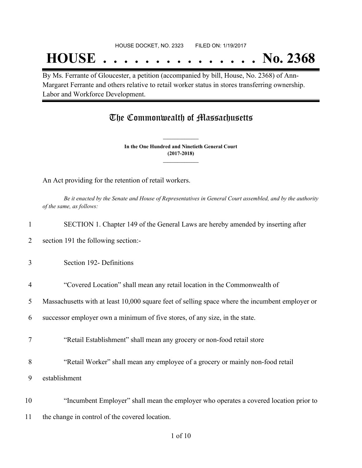## **HOUSE . . . . . . . . . . . . . . . No. 2368**

By Ms. Ferrante of Gloucester, a petition (accompanied by bill, House, No. 2368) of Ann-Margaret Ferrante and others relative to retail worker status in stores transferring ownership. Labor and Workforce Development.

### The Commonwealth of Massachusetts

**In the One Hundred and Ninetieth General Court (2017-2018) \_\_\_\_\_\_\_\_\_\_\_\_\_\_\_**

**\_\_\_\_\_\_\_\_\_\_\_\_\_\_\_**

An Act providing for the retention of retail workers.

Be it enacted by the Senate and House of Representatives in General Court assembled, and by the authority *of the same, as follows:*

| 1              | SECTION 1. Chapter 149 of the General Laws are hereby amended by inserting after                |
|----------------|-------------------------------------------------------------------------------------------------|
| 2              | section 191 the following section:-                                                             |
| 3              | Section 192- Definitions                                                                        |
| $\overline{4}$ | "Covered Location" shall mean any retail location in the Commonwealth of                        |
| 5              | Massachusetts with at least 10,000 square feet of selling space where the incumbent employer or |
| 6              | successor employer own a minimum of five stores, of any size, in the state.                     |
| 7              | "Retail Establishment" shall mean any grocery or non-food retail store                          |
| 8              | "Retail Worker" shall mean any employee of a grocery or mainly non-food retail                  |
| 9              | establishment                                                                                   |
| 10             | "Incumbent Employer" shall mean the employer who operates a covered location prior to           |
| 11             | the change in control of the covered location.                                                  |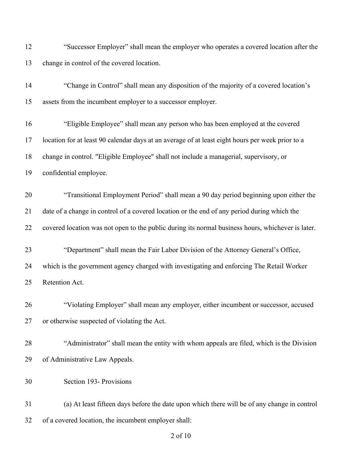"Successor Employer" shall mean the employer who operates a covered location after the change in control of the covered location.

 "Change in Control" shall mean any disposition of the majority of a covered location's assets from the incumbent employer to a successor employer. "Eligible Employee" shall mean any person who has been employed at the covered location for at least 90 calendar days at an average of at least eight hours per week prior to a change in control. "Eligible Employee" shall not include a managerial, supervisory, or confidential employee. "Transitional Employment Period" shall mean a 90 day period beginning upon either the date of a change in control of a covered location or the end of any period during which the covered location was not open to the public during its normal business hours, whichever is later. "Department" shall mean the Fair Labor Division of the Attorney General's Office, which is the government agency charged with investigating and enforcing The Retail Worker Retention Act. "Violating Employer" shall mean any employer, either incumbent or successor, accused or otherwise suspected of violating the Act. "Administrator" shall mean the entity with whom appeals are filed, which is the Division

Section 193- Provisions

of Administrative Law Appeals.

 (a) At least fifteen days before the date upon which there will be of any change in control of a covered location, the incumbent employer shall: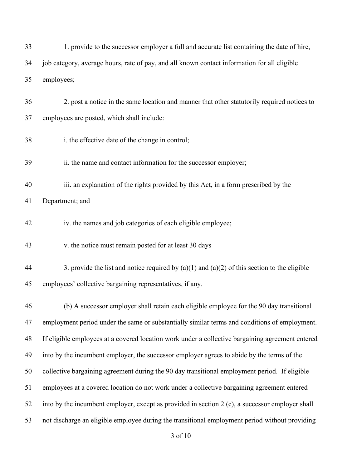| 33 | 1. provide to the successor employer a full and accurate list containing the date of hire,       |  |  |
|----|--------------------------------------------------------------------------------------------------|--|--|
| 34 | job category, average hours, rate of pay, and all known contact information for all eligible     |  |  |
| 35 | employees;                                                                                       |  |  |
| 36 | 2. post a notice in the same location and manner that other statutorily required notices to      |  |  |
| 37 | employees are posted, which shall include:                                                       |  |  |
| 38 | i. the effective date of the change in control;                                                  |  |  |
| 39 | ii. the name and contact information for the successor employer;                                 |  |  |
| 40 | iii. an explanation of the rights provided by this Act, in a form prescribed by the              |  |  |
| 41 | Department; and                                                                                  |  |  |
| 42 | iv. the names and job categories of each eligible employee;                                      |  |  |
| 43 | v. the notice must remain posted for at least 30 days                                            |  |  |
| 44 | 3. provide the list and notice required by $(a)(1)$ and $(a)(2)$ of this section to the eligible |  |  |
| 45 | employees' collective bargaining representatives, if any.                                        |  |  |
| 46 | (b) A successor employer shall retain each eligible employee for the 90 day transitional         |  |  |
| 47 | employment period under the same or substantially similar terms and conditions of employment.    |  |  |
| 48 | If eligible employees at a covered location work under a collective bargaining agreement entered |  |  |
| 49 | into by the incumbent employer, the successor employer agrees to abide by the terms of the       |  |  |
| 50 | collective bargaining agreement during the 90 day transitional employment period. If eligible    |  |  |
| 51 | employees at a covered location do not work under a collective bargaining agreement entered      |  |  |
| 52 | into by the incumbent employer, except as provided in section 2 (c), a successor employer shall  |  |  |
| 53 | not discharge an eligible employee during the transitional employment period without providing   |  |  |
|    | 3 of 10                                                                                          |  |  |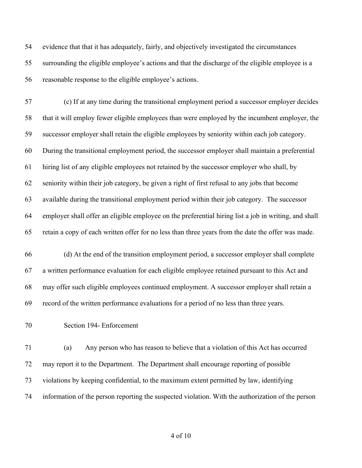evidence that that it has adequately, fairly, and objectively investigated the circumstances surrounding the eligible employee's actions and that the discharge of the eligible employee is a reasonable response to the eligible employee's actions.

 (c) If at any time during the transitional employment period a successor employer decides that it will employ fewer eligible employees than were employed by the incumbent employer, the successor employer shall retain the eligible employees by seniority within each job category. During the transitional employment period, the successor employer shall maintain a preferential hiring list of any eligible employees not retained by the successor employer who shall, by seniority within their job category, be given a right of first refusal to any jobs that become available during the transitional employment period within their job category. The successor employer shall offer an eligible employee on the preferential hiring list a job in writing, and shall retain a copy of each written offer for no less than three years from the date the offer was made.

 (d) At the end of the transition employment period, a successor employer shall complete a written performance evaluation for each eligible employee retained pursuant to this Act and may offer such eligible employees continued employment. A successor employer shall retain a record of the written performance evaluations for a period of no less than three years.

Section 194- Enforcement

 (a) Any person who has reason to believe that a violation of this Act has occurred may report it to the Department. The Department shall encourage reporting of possible violations by keeping confidential, to the maximum extent permitted by law, identifying information of the person reporting the suspected violation. With the authorization of the person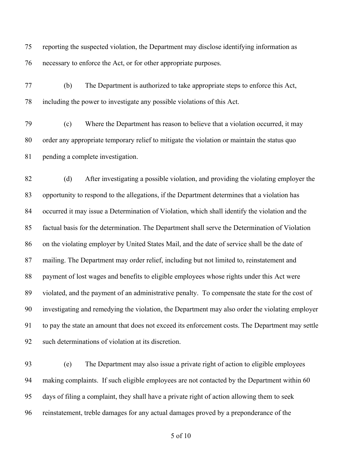reporting the suspected violation, the Department may disclose identifying information as necessary to enforce the Act, or for other appropriate purposes.

 (b) The Department is authorized to take appropriate steps to enforce this Act, including the power to investigate any possible violations of this Act.

 (c) Where the Department has reason to believe that a violation occurred, it may order any appropriate temporary relief to mitigate the violation or maintain the status quo pending a complete investigation.

 (d) After investigating a possible violation, and providing the violating employer the opportunity to respond to the allegations, if the Department determines that a violation has occurred it may issue a Determination of Violation, which shall identify the violation and the factual basis for the determination. The Department shall serve the Determination of Violation on the violating employer by United States Mail, and the date of service shall be the date of mailing. The Department may order relief, including but not limited to, reinstatement and payment of lost wages and benefits to eligible employees whose rights under this Act were violated, and the payment of an administrative penalty. To compensate the state for the cost of investigating and remedying the violation, the Department may also order the violating employer to pay the state an amount that does not exceed its enforcement costs. The Department may settle such determinations of violation at its discretion.

 (e) The Department may also issue a private right of action to eligible employees 94 making complaints. If such eligible employees are not contacted by the Department within 60 days of filing a complaint, they shall have a private right of action allowing them to seek reinstatement, treble damages for any actual damages proved by a preponderance of the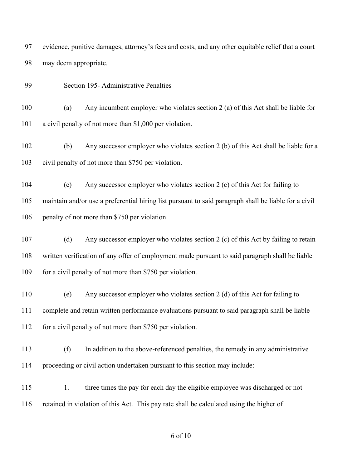evidence, punitive damages, attorney's fees and costs, and any other equitable relief that a court may deem appropriate.

Section 195- Administrative Penalties

 (a) Any incumbent employer who violates section 2 (a) of this Act shall be liable for a civil penalty of not more than \$1,000 per violation.

 (b) Any successor employer who violates section 2 (b) of this Act shall be liable for a civil penalty of not more than \$750 per violation.

 (c) Any successor employer who violates section 2 (c) of this Act for failing to maintain and/or use a preferential hiring list pursuant to said paragraph shall be liable for a civil 106 penalty of not more than \$750 per violation.

 (d) Any successor employer who violates section 2 (c) of this Act by failing to retain written verification of any offer of employment made pursuant to said paragraph shall be liable 109 for a civil penalty of not more than \$750 per violation.

 (e) Any successor employer who violates section 2 (d) of this Act for failing to complete and retain written performance evaluations pursuant to said paragraph shall be liable 112 for a civil penalty of not more than \$750 per violation.

- (f) In addition to the above-referenced penalties, the remedy in any administrative proceeding or civil action undertaken pursuant to this section may include:
- 115 1. three times the pay for each day the eligible employee was discharged or not retained in violation of this Act. This pay rate shall be calculated using the higher of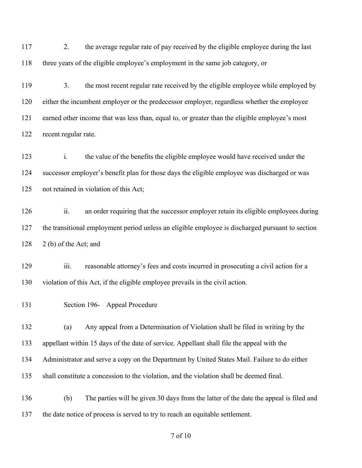2. the average regular rate of pay received by the eligible employee during the last three years of the eligible employee's employment in the same job category, or

 3. the most recent regular rate received by the eligible employee while employed by either the incumbent employer or the predecessor employer, regardless whether the employee earned other income that was less than, equal to, or greater than the eligible employee's most recent regular rate.

 i. the value of the benefits the eligible employee would have received under the successor employer's benefit plan for those days the eligible employee was discharged or was not retained in violation of this Act;

126 ii. an order requiring that the successor employer retain its eligible employees during the transitional employment period unless an eligible employee is discharged pursuant to section 2 (b) of the Act; and

129 iii. reasonable attorney's fees and costs incurred in prosecuting a civil action for a violation of this Act, if the eligible employee prevails in the civil action.

Section 196- Appeal Procedure

 (a) Any appeal from a Determination of Violation shall be filed in writing by the appellant within 15 days of the date of service. Appellant shall file the appeal with the Administrator and serve a copy on the Department by United States Mail. Failure to do either shall constitute a concession to the violation, and the violation shall be deemed final.

 (b) The parties will be given 30 days from the latter of the date the appeal is filed and the date notice of process is served to try to reach an equitable settlement.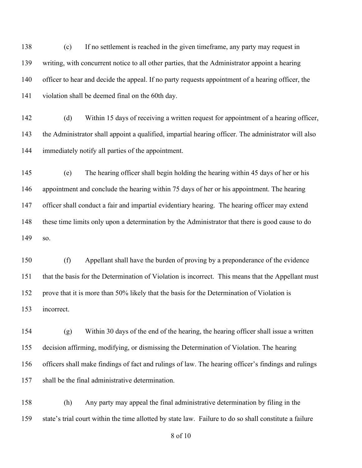(c) If no settlement is reached in the given timeframe, any party may request in writing, with concurrent notice to all other parties, that the Administrator appoint a hearing officer to hear and decide the appeal. If no party requests appointment of a hearing officer, the violation shall be deemed final on the 60th day.

 (d) Within 15 days of receiving a written request for appointment of a hearing officer, the Administrator shall appoint a qualified, impartial hearing officer. The administrator will also immediately notify all parties of the appointment.

 (e) The hearing officer shall begin holding the hearing within 45 days of her or his appointment and conclude the hearing within 75 days of her or his appointment. The hearing officer shall conduct a fair and impartial evidentiary hearing. The hearing officer may extend these time limits only upon a determination by the Administrator that there is good cause to do so.

 (f) Appellant shall have the burden of proving by a preponderance of the evidence that the basis for the Determination of Violation is incorrect. This means that the Appellant must prove that it is more than 50% likely that the basis for the Determination of Violation is incorrect.

 (g) Within 30 days of the end of the hearing, the hearing officer shall issue a written decision affirming, modifying, or dismissing the Determination of Violation. The hearing officers shall make findings of fact and rulings of law. The hearing officer's findings and rulings shall be the final administrative determination.

 (h) Any party may appeal the final administrative determination by filing in the state's trial court within the time allotted by state law. Failure to do so shall constitute a failure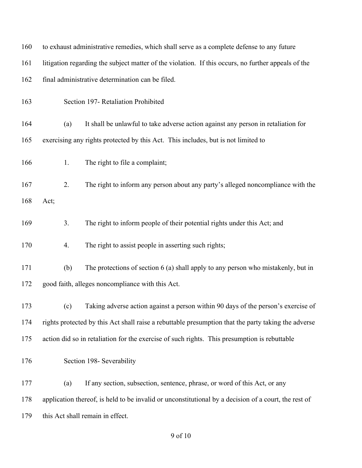| 160 | to exhaust administrative remedies, which shall serve as a complete defense to any future            |                                                                                   |  |
|-----|------------------------------------------------------------------------------------------------------|-----------------------------------------------------------------------------------|--|
| 161 | litigation regarding the subject matter of the violation. If this occurs, no further appeals of the  |                                                                                   |  |
| 162 | final administrative determination can be filed.                                                     |                                                                                   |  |
| 163 |                                                                                                      | Section 197- Retaliation Prohibited                                               |  |
| 164 | (a)                                                                                                  | It shall be unlawful to take adverse action against any person in retaliation for |  |
| 165 |                                                                                                      | exercising any rights protected by this Act. This includes, but is not limited to |  |
| 166 | 1.                                                                                                   | The right to file a complaint;                                                    |  |
| 167 | 2.                                                                                                   | The right to inform any person about any party's alleged noncompliance with the   |  |
| 168 | Act;                                                                                                 |                                                                                   |  |
| 169 | 3.                                                                                                   | The right to inform people of their potential rights under this Act; and          |  |
| 170 | 4.                                                                                                   | The right to assist people in asserting such rights;                              |  |
| 171 | (b)                                                                                                  | The protections of section 6 (a) shall apply to any person who mistakenly, but in |  |
| 172 | good faith, alleges noncompliance with this Act.                                                     |                                                                                   |  |
| 173 | (c)                                                                                                  | Taking adverse action against a person within 90 days of the person's exercise of |  |
| 174 | rights protected by this Act shall raise a rebuttable presumption that the party taking the adverse  |                                                                                   |  |
| 175 | action did so in retaliation for the exercise of such rights. This presumption is rebuttable         |                                                                                   |  |
| 176 |                                                                                                      | Section 198- Severability                                                         |  |
| 177 | (a)                                                                                                  | If any section, subsection, sentence, phrase, or word of this Act, or any         |  |
| 178 | application thereof, is held to be invalid or unconstitutional by a decision of a court, the rest of |                                                                                   |  |
| 179 | this Act shall remain in effect.                                                                     |                                                                                   |  |
|     |                                                                                                      |                                                                                   |  |